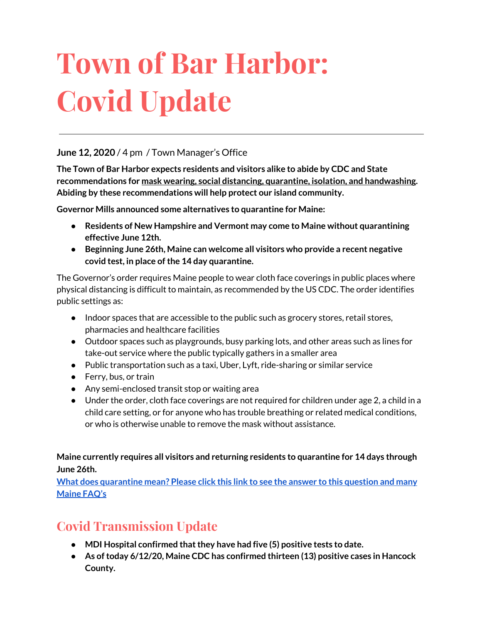# **Town of Bar Harbor: Covid Update**

#### **June 12, 2020** / 4 pm / Town Manager's Office

**The Town of Bar Harbor expects residents and visitors alike to abide by CDC and State recommendations for mask wearing, social distancing, quarantine, isolation, and handwashing. Abiding by these recommendations will help protect our island community.**

**Governor Mills announced some alternatives to quarantine for Maine:**

- **● Residents of New Hampshire and Vermont may come to Maine without quarantining effective June 12th.**
- **● Beginning June 26th, Maine can welcome all visitors who provide a recent negative covid test, in place ofthe 14 day quarantine.**

The Governor's order requires Maine people to wear cloth face coverings in public places where physical distancing is difficult to maintain, as recommended by the US CDC. The order identifies public settings as:

- Indoor spaces that are accessible to the public such as grocery stores, retail stores, pharmacies and healthcare facilities
- Outdoor spaces such as playgrounds, busy parking lots, and other areas such as lines for take-out service where the public typically gathers in a smaller area
- Public transportation such as a taxi, Uber, Lyft, ride-sharing or similar service
- Ferry, bus, or train
- Any semi-enclosed transit stop or waiting area
- Under the order, cloth face coverings are not required for children under age 2, a child in a child care setting, or for anyone who has trouble breathing or related medical conditions, or who is otherwise unable to remove the mask without assistance.

**Maine currently requires all visitors and returning residents to quarantine for 14 days through June 26th.**

**What does [quarantine](https://www.maine.gov/dhhs/mecdc/infectious-disease/epi/airborne/coronavirus.shtml#faq) mean? Please click this link to see the answer to this question and many [Maine](https://www.maine.gov/dhhs/mecdc/infectious-disease/epi/airborne/coronavirus.shtml#faq) FAQ's**

# **Covid Transmission Update**

- **● MDI Hospital confirmed thatthey have had five (5) positive tests to date.**
- **● As oftoday 6/12/20, Maine CDC has confirmed thirteen (13) positive cases in Hancock County.**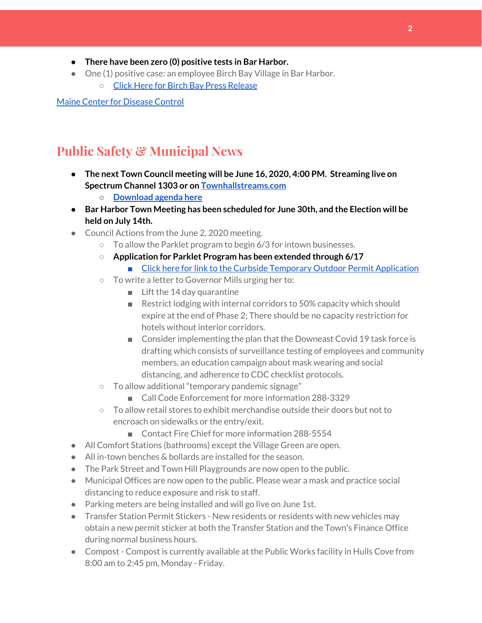- **● There have been zero (0) positive tests in Bar Harbor.**
- One (1) positive case: an employee Birch Bay Village in Bar Harbor.
	- Click Here for Birch Bay Press [Release](https://www.birchbayvillage.us/category/coronavirus/)

Maine Center for [Disease](https://www.maine.gov/dhhs/mecdc/infectious-disease/epi/airborne/coronavirus.shtml) Control

## **Public Safety & Municipal News**

- **● The next Town Council meeting will be June 16, 2020, 4:00 PM. Streaming live on Spectrum Channel 1303 or on [Townhallstreams.com](http://townhallstreams.com/)**
	- **○ [Download](http://www.barharbormaine.gov/agendacenter) agenda here**
- **● Bar Harbor Town Meeting has been scheduled for June 30th, and the Election will be held on July 14th.**
- Council Actions from the June 2, 2020 meeting.
	- $\circ$  To allow the Parklet program to begin 6/3 for intown businesses.
	- **Application for Parklet Program has been extended through 6/17**
		- Click here for link to the Curbside Temporary Outdoor Permit [Application](http://www.barharbormaine.gov/CivicAlerts.aspx?AID=671)
	- To write a letter to Governor Mills urging her to:
		- Lift the 14 day quarantine
		- Restrict lodging with internal corridors to 50% capacity which should expire at the end of Phase 2; There should be no capacity restriction for hotels without interior corridors.
		- Consider implementing the plan that the Downeast Covid 19 task force is drafting which consists of surveillance testing of employees and community members, an education campaign about mask wearing and social distancing, and adherence to CDC checklist protocols.
	- To allow additional "temporary pandemic signage"
		- Call Code Enforcement for more information 288-3329
	- $\circ$  To allow retail stores to exhibit merchandise outside their doors but not to encroach on sidewalks or the entry/exit.
		- Contact Fire Chief for more information 288-5554
- All Comfort Stations (bathrooms) except the Village Green are open.
- All in-town benches & bollards are installed for the season.
- The Park Street and Town Hill Playgrounds are now open to the public.
- Municipal Offices are now open to the public. Please wear a mask and practice social distancing to reduce exposure and risk to staff.
- Parking meters are being installed and will go live on June 1st.
- Transfer Station Permit Stickers New residents or residents with new vehicles may obtain a new permit sticker at both the Transfer Station and the Town's Finance Office during normal business hours.
- Compost Compost is currently available at the Public Works facility in Hulls Cove from 8:00 am to 2:45 pm, Monday - Friday.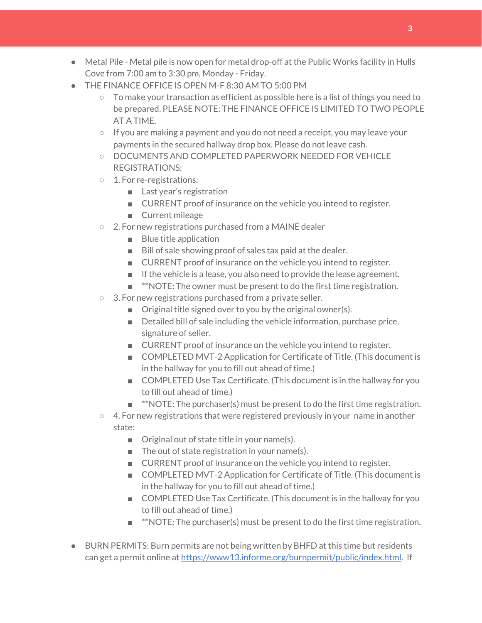- Metal Pile Metal pile is now open for metal drop-off at the Public Works facility in Hulls Cove from 7:00 am to 3:30 pm, Monday - Friday.
- THE FINANCE OFFICE IS OPEN M-F 8:30 AM TO 5:00 PM
	- $\circ$  To make your transaction as efficient as possible here is a list of things you need to be prepared. PLEASE NOTE: THE FINANCE OFFICE IS LIMITED TO TWO PEOPLE AT A TIME.
	- $\circ$  If you are making a payment and you do not need a receipt, you may leave your payments in the secured hallway drop box. Please do not leave cash.
	- DOCUMENTS AND COMPLETED PAPERWORK NEEDED FOR VEHICLE REGISTRATIONS:
	- 1. For re-registrations:
		- Last year's registration
		- CURRENT proof of insurance on the vehicle you intend to register.
		- Current mileage
	- 2. For new registrations purchased from a MAINE dealer
		- Blue title application
		- Bill of sale showing proof of sales tax paid at the dealer.
		- CURRENT proof of insurance on the vehicle you intend to register.
		- If the vehicle is a lease, you also need to provide the lease agreement.
		- **\*\*NOTE:** The owner must be present to do the first time registration.
	- 3. For new registrations purchased from a private seller.
		- Original title signed over to you by the original owner(s).
		- Detailed bill of sale including the vehicle information, purchase price, signature of seller.
		- CURRENT proof of insurance on the vehicle you intend to register.
		- COMPLETED MVT-2 Application for Certificate of Title. (This document is in the hallway for you to fill out ahead of time.)
		- COMPLETED Use Tax Certificate. (This document is in the hallway for you to fill out ahead of time.)
		- $\blacksquare$  \*\*NOTE: The purchaser(s) must be present to do the first time registration.
	- $\circ$  4. For new registrations that were registered previously in your name in another state:
		- Original out of state title in your name(s).
		- $\blacksquare$  The out of state registration in your name(s).
		- CURRENT proof of insurance on the vehicle you intend to register.
		- COMPLETED MVT-2 Application for Certificate of Title. (This document is in the hallway for you to fill out ahead of time.)
		- COMPLETED Use Tax Certificate. (This document is in the hallway for you to fill out ahead of time.)
		- **\*\*NOTE:** The purchaser(s) must be present to do the first time registration.
- BURN PERMITS: Burn permits are not being written by BHFD at this time but residents can get a permit online at <https://www13.informe.org/burnpermit/public/index.html>. If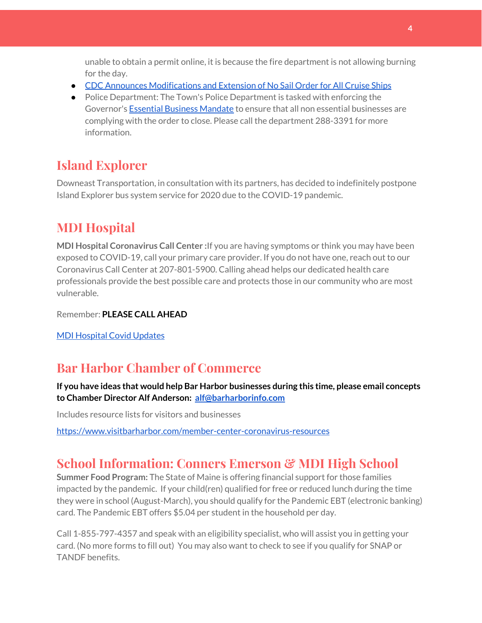unable to obtain a permit online, it is because the fire department is not allowing burning for the day.

- CDC Announces [Modifications](https://www.cdc.gov/media/releases/2020/s0409-modifications-extension-no-sail-ships.html) and Extension of No Sail Order for All Cruise Ships
- Police Department: The Town's Police Department is tasked with enforcing the Governor's Essential Business [Mandate](https://www.maine.gov/governor/mills/sites/maine.gov.governor.mills/files/inline-files/An%20Order%20Regarding%20Essential%20Businesses%20and%20Operations%20.pdf) to ensure that all non essential businesses are complying with the order to close. Please call the department 288-3391 for more information.

# **Island Explorer**

Downeast Transportation, in consultation with its partners, has decided to indefinitely postpone Island Explorer bus system service for 2020 due to the COVID-19 pandemic.

# **MDI Hospital**

**MDI Hospital Coronavirus Call Center :**If you are having symptoms or think you may have been exposed to COVID-19, call your primary care provider. If you do not have one, reach out to our Coronavirus Call Center at 207-801-5900. Calling ahead helps our dedicated health care professionals provide the best possible care and protects those in our community who are most vulnerable.

Remember: **PLEASE CALL AHEAD**

MDI [Hospital](https://www.mdihospital.org/covid-19/?fbclid=IwAR2Q31t4a6H1pxDfUeqSzFcmp5UbRlSwe93i58zEkHstfexp5EgoHB5cxGU) Covid Updates

# **Bar Harbor Chamber of Commerce**

**If you have ideas that would help Bar Harbor businesses during this time, please email concepts to Chamber Director Alf Anderson: [alf@barharborinfo.com](mailto:alf@barharborinfo.com)**

Includes resource lists for visitors and businesses

<https://www.visitbarharbor.com/member-center-coronavirus-resources>

# **School Information: Conners Emerson & MDI High School**

**Summer Food Program:** The State of Maine is offering financial support for those families impacted by the pandemic. If your child(ren) qualified for free or reduced lunch during the time they were in school (August-March), you should qualify for the Pandemic EBT (electronic banking) card. The Pandemic EBT offers \$5.04 per student in the household per day.

Call 1-855-797-4357 and speak with an eligibility specialist, who will assist you in getting your card. (No more forms to fill out) You may also want to check to see if you qualify for SNAP or TANDF benefits.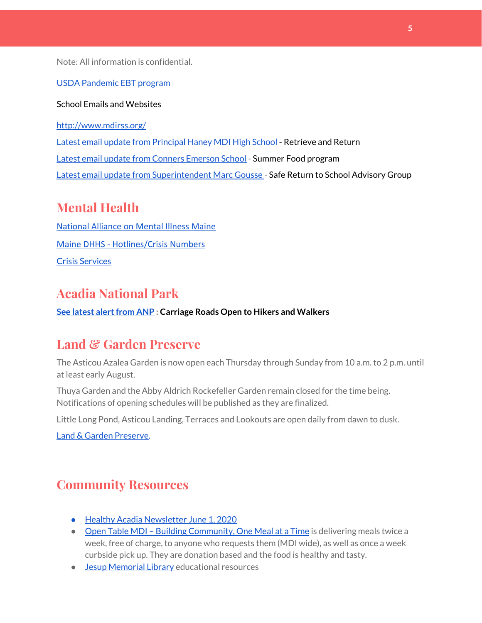Note: All information is confidential.

#### USDA [Pandemic](http://track.spe.schoolmessenger.com/f/a/j6GQx4nFl3Rld4Q68tYCuA~~/AAAAAQA~/RgRgu5_JP0SlaHR0cHM6Ly9tYWlsLmdvb2dsZS5jb20vbWFpbC91LzAvP3RhYj1jbSNzZWFyY2gvZnJvbSUzQStiZWVzbGV5L1doY3RLSlZyQ0NUS1JmUldCTFdkUVpGZ2pUVlhNdkRwUVpIa2NoRkJCc3NGcHJxZEtnWFF3S05Tamt3R1RxTFpaS21wTkRHP3Byb2plY3Rvcj0xJm1lc3NhZ2VQYXJ0SWQ9MC4xVwdzY2hvb2xtQgoARkls2l72Ls-jUhhiYXJoYXJib3JqZXdlbEBnbWFpbC5jb21YBAAAAAE~) EBT program

#### School Emails and Websites

<http://www.mdirss.org/>

Latest email update from [Principal](https://docs.google.com/document/d/1OKDsYNtOgV0FI9xAcXwQvenOKLV0S2vBg1o5jtu5CrE/edit?usp=sharing) Haney MDI High School - Retrieve and Return

Latest email update from Conners [Emerson](https://docs.google.com/document/d/1v3pgkG6Q-9S3gisuUIj4etPVDwgBKl4P00JBkvZr-kk/edit?usp=sharing) School - Summer Food program

Latest email update from [Superintendent](https://docs.google.com/document/d/1fzeCbc8gpTSKmUaDoQH1Avx5PVl-h0reFphXrT1eUNA/edit?usp=sharing) Marc Gousse - Safe Return to School Advisory Group

## **Mental Health**

[National Alliance on Mental Illness Maine](https://www.namimaine.org/) [Maine DHHS - Hotlines/Crisis Numbers](https://www.maine.gov/dhhs/hotlines.shtml) Crisis [Services](https://www.sweetser.org/programs-services/services-for-adults/crisis-services/)

## **Acadia National Park**

**See latest [alertfrom](https://www.nps.gov/acad/planyourvisit/conditions.htm) ANP : Carriage Roads Open to Hikers and Walkers**

## **Land & Garden Preserve**

The Asticou Azalea Garden is now open each Thursday through Sunday from 10 a.m. to 2 p.m. until at least early August.

Thuya Garden and the Abby Aldrich Rockefeller Garden remain closed for the time being. Notifications of opening schedules will be published as they are finalized.

Little Long Pond, Asticou Landing, Terraces and Lookouts are open daily from dawn to dusk.

Land & Garden [Preserve.](http://r20.rs6.net/tn.jsp?f=001c2c44O_Y4Bmt5GaCvu5yAYkz89M8Lwr9w3wPmKga-jL0VkXmrA_iCBnJWeKd-r-c_wiOF7jNYC-QzXJMviI1ynfM6TwSp8c5otfuaSIRTDcq5nn2rk6dJCDjoN3eBqPHJKFYoFyk9hM2S6_Umc9OISkK5B4CYWoH5SoIKNOTrvM=&c=hkvlfXnwmFjdodNWvqArIvDg3SgMq59MugFS-G4pB0EsTcKrtCXmmw==&ch=dosMVM0pVLoaympYuEEiXtIerW5cx-__Cn3S8zZpZ16TXMeGogAN8g==)

### **Community Resources**

- Healthy Acadia [Newsletter](https://mailchi.mp/healthyacadia.org/june1_2020) June 1, 2020
- Open Table MDI Building [Community,](https://www.opentablemdi.org/) One Meal at a Time is delivering meals twice a week, free of charge, to anyone who requests them (MDI wide), as well as once a week curbside pick up. They are donation based and the food is healthy and tasty.
- Jesup [Memorial](https://jesuplibrary.org/) Library educational resources